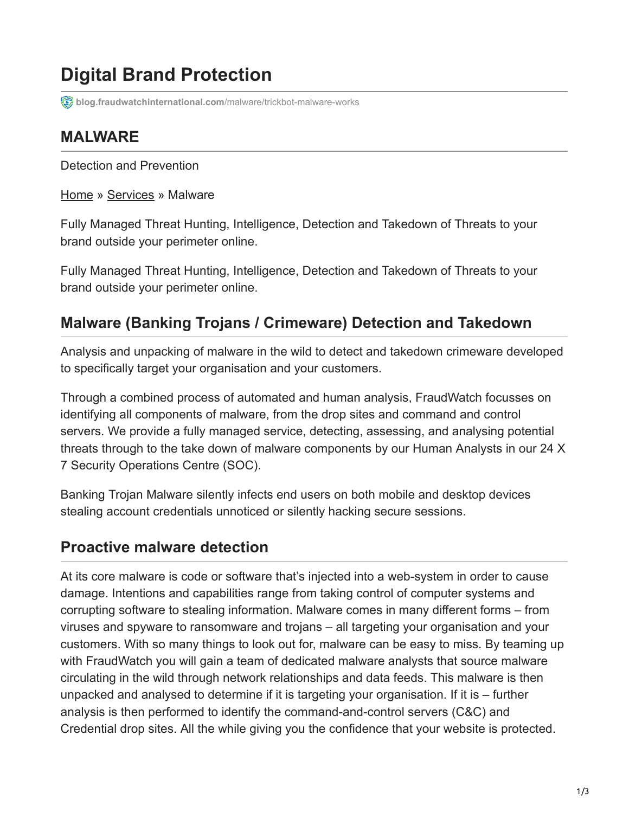# **Digital Brand Protection**

**[blog.fraudwatchinternational.com](https://blog.fraudwatchinternational.com/malware/trickbot-malware-works)**/malware/trickbot-malware-works

# **MALWARE**

Detection and Prevention

[Home](https://fraudwatch.com/) » [Services](https://fraudwatch.com/services/) » Malware

Fully Managed Threat Hunting, Intelligence, Detection and Takedown of Threats to your brand outside your perimeter online.

Fully Managed Threat Hunting, Intelligence, Detection and Takedown of Threats to your brand outside your perimeter online.

# **Malware (Banking Trojans / Crimeware) Detection and Takedown**

Analysis and unpacking of malware in the wild to detect and takedown crimeware developed to specifically target your organisation and your customers.

Through a combined process of automated and human analysis, FraudWatch focusses on identifying all components of malware, from the drop sites and command and control servers. We provide a fully managed service, detecting, assessing, and analysing potential threats through to the take down of malware components by our Human Analysts in our 24 X 7 Security Operations Centre (SOC).

Banking Trojan Malware silently infects end users on both mobile and desktop devices stealing account credentials unnoticed or silently hacking secure sessions.

#### **Proactive malware detection**

At its core malware is code or software that's injected into a web-system in order to cause damage. Intentions and capabilities range from taking control of computer systems and corrupting software to stealing information. Malware comes in many different forms – from viruses and spyware to ransomware and trojans – all targeting your organisation and your customers. With so many things to look out for, malware can be easy to miss. By teaming up with FraudWatch you will gain a team of dedicated malware analysts that source malware circulating in the wild through network relationships and data feeds. This malware is then unpacked and analysed to determine if it is targeting your organisation. If it is – further analysis is then performed to identify the command-and-control servers (C&C) and Credential drop sites. All the while giving you the confidence that your website is protected.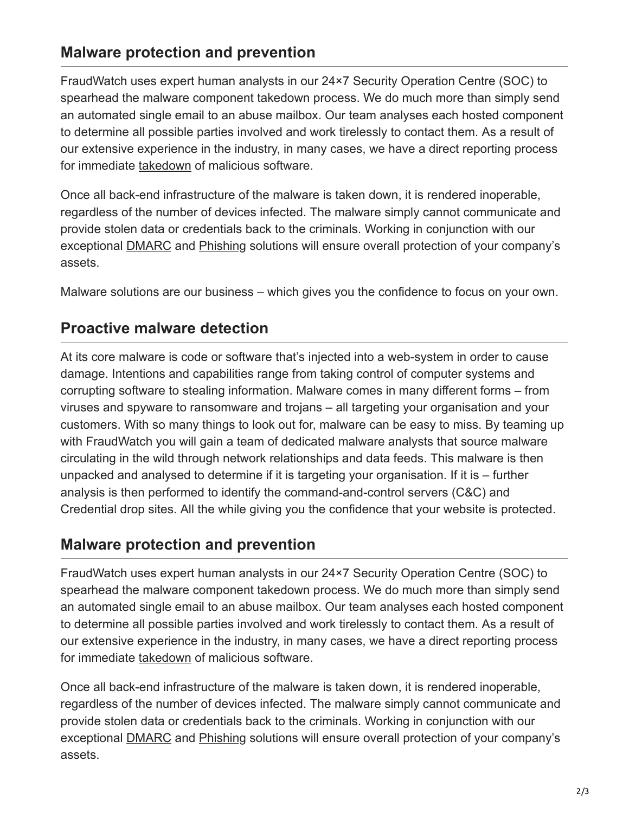## **Malware protection and prevention**

FraudWatch uses expert human analysts in our 24×7 Security Operation Centre (SOC) to spearhead the malware component takedown process. We do much more than simply send an automated single email to an abuse mailbox. Our team analyses each hosted component to determine all possible parties involved and work tirelessly to contact them. As a result of our extensive experience in the industry, in many cases, we have a direct reporting process for immediate [takedown](https://fraudwatch.com/site-takedown/) of malicious software.

Once all back-end infrastructure of the malware is taken down, it is rendered inoperable, regardless of the number of devices infected. The malware simply cannot communicate and provide stolen data or credentials back to the criminals. Working in conjunction with our exceptional **DMARC** and [Phishing](https://fraudwatch.com/phishing/) solutions will ensure overall protection of your company's assets.

Malware solutions are our business – which gives you the confidence to focus on your own.

### **Proactive malware detection**

At its core malware is code or software that's injected into a web-system in order to cause damage. Intentions and capabilities range from taking control of computer systems and corrupting software to stealing information. Malware comes in many different forms – from viruses and spyware to ransomware and trojans – all targeting your organisation and your customers. With so many things to look out for, malware can be easy to miss. By teaming up with FraudWatch you will gain a team of dedicated malware analysts that source malware circulating in the wild through network relationships and data feeds. This malware is then unpacked and analysed to determine if it is targeting your organisation. If it is – further analysis is then performed to identify the command-and-control servers (C&C) and Credential drop sites. All the while giving you the confidence that your website is protected.

#### **Malware protection and prevention**

FraudWatch uses expert human analysts in our 24×7 Security Operation Centre (SOC) to spearhead the malware component takedown process. We do much more than simply send an automated single email to an abuse mailbox. Our team analyses each hosted component to determine all possible parties involved and work tirelessly to contact them. As a result of our extensive experience in the industry, in many cases, we have a direct reporting process for immediate [takedown](https://fraudwatch.com/site-takedown/) of malicious software.

Once all back-end infrastructure of the malware is taken down, it is rendered inoperable, regardless of the number of devices infected. The malware simply cannot communicate and provide stolen data or credentials back to the criminals. Working in conjunction with our exceptional [DMARC](https://fraudwatch.com/dmarc/) and [Phishing](https://fraudwatch.com/phishing/) solutions will ensure overall protection of your company's assets.